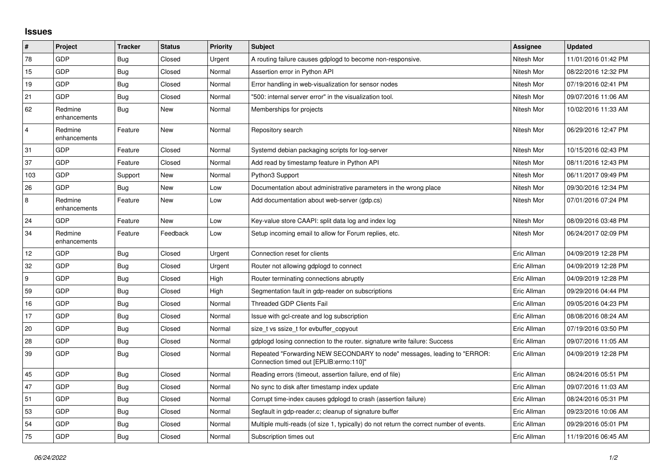## **Issues**

| $\vert$ #        | Project                 | <b>Tracker</b> | <b>Status</b> | <b>Priority</b> | <b>Subject</b>                                                                                                      | Assignee    | <b>Updated</b>      |
|------------------|-------------------------|----------------|---------------|-----------------|---------------------------------------------------------------------------------------------------------------------|-------------|---------------------|
| 78               | GDP                     | <b>Bug</b>     | Closed        | Urgent          | A routing failure causes gdplogd to become non-responsive.                                                          | Nitesh Mor  | 11/01/2016 01:42 PM |
| 15               | GDP                     | <b>Bug</b>     | Closed        | Normal          | Assertion error in Python API                                                                                       | Nitesh Mor  | 08/22/2016 12:32 PM |
| 19               | <b>GDP</b>              | <b>Bug</b>     | Closed        | Normal          | Error handling in web-visualization for sensor nodes                                                                | Nitesh Mor  | 07/19/2016 02:41 PM |
| 21               | GDP                     | <b>Bug</b>     | Closed        | Normal          | "500: internal server error" in the visualization tool.                                                             | Nitesh Mor  | 09/07/2016 11:06 AM |
| 62               | Redmine<br>enhancements | <b>Bug</b>     | New           | Normal          | Memberships for projects                                                                                            | Nitesh Mor  | 10/02/2016 11:33 AM |
| $\overline{4}$   | Redmine<br>enhancements | Feature        | New           | Normal          | Repository search                                                                                                   | Nitesh Mor  | 06/29/2016 12:47 PM |
| 31               | GDP                     | Feature        | Closed        | Normal          | Systemd debian packaging scripts for log-server                                                                     | Nitesh Mor  | 10/15/2016 02:43 PM |
| 37               | GDP                     | Feature        | Closed        | Normal          | Add read by timestamp feature in Python API                                                                         | Nitesh Mor  | 08/11/2016 12:43 PM |
| 103              | GDP                     | Support        | New           | Normal          | Python3 Support                                                                                                     | Nitesh Mor  | 06/11/2017 09:49 PM |
| 26               | <b>GDP</b>              | Bug            | <b>New</b>    | Low             | Documentation about administrative parameters in the wrong place                                                    | Nitesh Mor  | 09/30/2016 12:34 PM |
| $\,8\,$          | Redmine<br>enhancements | Feature        | New           | Low             | Add documentation about web-server (gdp.cs)                                                                         | Nitesh Mor  | 07/01/2016 07:24 PM |
| 24               | GDP                     | Feature        | <b>New</b>    | Low             | Key-value store CAAPI: split data log and index log                                                                 | Nitesh Mor  | 08/09/2016 03:48 PM |
| 34               | Redmine<br>enhancements | Feature        | Feedback      | Low             | Setup incoming email to allow for Forum replies, etc.                                                               | Nitesh Mor  | 06/24/2017 02:09 PM |
| 12               | <b>GDP</b>              | <b>Bug</b>     | Closed        | Urgent          | Connection reset for clients                                                                                        | Eric Allman | 04/09/2019 12:28 PM |
| 32               | GDP                     | <b>Bug</b>     | Closed        | Urgent          | Router not allowing gdplogd to connect                                                                              | Eric Allman | 04/09/2019 12:28 PM |
| $\boldsymbol{9}$ | <b>GDP</b>              | Bug            | Closed        | High            | Router terminating connections abruptly                                                                             | Eric Allman | 04/09/2019 12:28 PM |
| 59               | <b>GDP</b>              | <b>Bug</b>     | Closed        | High            | Segmentation fault in gdp-reader on subscriptions                                                                   | Eric Allman | 09/29/2016 04:44 PM |
| 16               | GDP                     | Bug            | Closed        | Normal          | <b>Threaded GDP Clients Fail</b>                                                                                    | Eric Allman | 09/05/2016 04:23 PM |
| 17               | <b>GDP</b>              | Bug            | Closed        | Normal          | Issue with gcl-create and log subscription                                                                          | Eric Allman | 08/08/2016 08:24 AM |
| 20               | <b>GDP</b>              | Bug            | Closed        | Normal          | size_t vs ssize_t for evbuffer_copyout                                                                              | Eric Allman | 07/19/2016 03:50 PM |
| 28               | GDP                     | <b>Bug</b>     | Closed        | Normal          | gdplogd losing connection to the router, signature write failure: Success                                           | Eric Allman | 09/07/2016 11:05 AM |
| 39               | GDP                     | <b>Bug</b>     | Closed        | Normal          | Repeated "Forwarding NEW SECONDARY to node" messages, leading to "ERROR:<br>Connection timed out [EPLIB:errno:110]" | Eric Allman | 04/09/2019 12:28 PM |
| 45               | GDP                     | <b>Bug</b>     | Closed        | Normal          | Reading errors (timeout, assertion failure, end of file)                                                            | Eric Allman | 08/24/2016 05:51 PM |
| 47               | GDP                     | <b>Bug</b>     | Closed        | Normal          | No sync to disk after timestamp index update                                                                        | Eric Allman | 09/07/2016 11:03 AM |
| 51               | GDP                     | Bug            | Closed        | Normal          | Corrupt time-index causes gdplogd to crash (assertion failure)                                                      | Eric Allman | 08/24/2016 05:31 PM |
| 53               | <b>GDP</b>              | Bug            | Closed        | Normal          | Segfault in gdp-reader.c; cleanup of signature buffer                                                               | Eric Allman | 09/23/2016 10:06 AM |
| 54               | GDP                     | Bug            | Closed        | Normal          | Multiple multi-reads (of size 1, typically) do not return the correct number of events.                             | Eric Allman | 09/29/2016 05:01 PM |
| 75               | GDP                     | <b>Bug</b>     | Closed        | Normal          | Subscription times out                                                                                              | Eric Allman | 11/19/2016 06:45 AM |